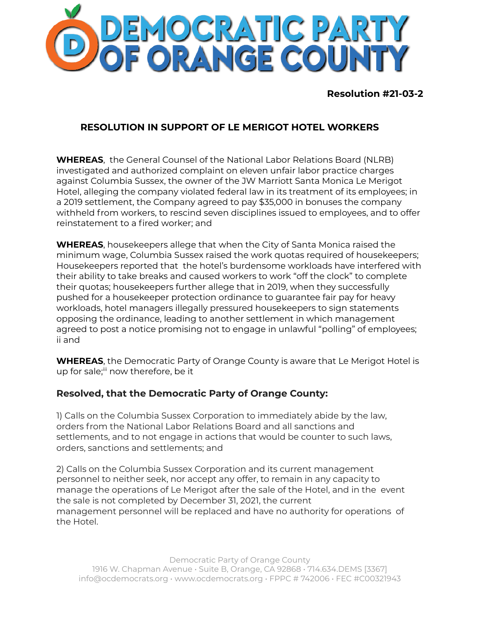

**Resolution #21-03-2**

## **RESOLUTION IN SUPPORT OF LE MERIGOT HOTEL WORKERS**

**WHEREAS**, the General Counsel of the National Labor Relations Board (NLRB) investigated and authorized complaint on eleven unfair labor practice charges against Columbia Sussex, the owner of the JW Marriott Santa Monica Le Merigot Hotel, alleging the company violated federal law in its treatment of its employees; in a 2019 settlement, the Company agreed to pay \$35,000 in bonuses the company withheld from workers, to rescind seven disciplines issued to employees, and to offer reinstatement to a fired worker; and

**WHEREAS**, housekeepers allege that when the City of Santa Monica raised the minimum wage, Columbia Sussex raised the work quotas required of housekeepers; Housekeepers reported that the hotel's burdensome workloads have interfered with their ability to take breaks and caused workers to work "off the clock" to complete their quotas; housekeepers further allege that in 2019, when they successfully pushed for a housekeeper protection ordinance to guarantee fair pay for heavy workloads, hotel managers illegally pressured housekeepers to sign statements opposing the ordinance, leading to another settlement in which management agreed to post a notice promising not to engage in unlawful "polling" of employees; ii and

**WHEREAS**, the Democratic Party of Orange County is aware that Le Merigot Hotel is up for sale;<sup>iii</sup> now therefore, be it

## **Resolved, that the Democratic Party of Orange County:**

1) Calls on the Columbia Sussex Corporation to immediately abide by the law, orders from the National Labor Relations Board and all sanctions and settlements, and to not engage in actions that would be counter to such laws, orders, sanctions and settlements; and

2) Calls on the Columbia Sussex Corporation and its current management personnel to neither seek, nor accept any offer, to remain in any capacity to manage the operations of Le Merigot after the sale of the Hotel, and in the event the sale is not completed by December 31, 2021, the current management personnel will be replaced and have no authority for operations of the Hotel.